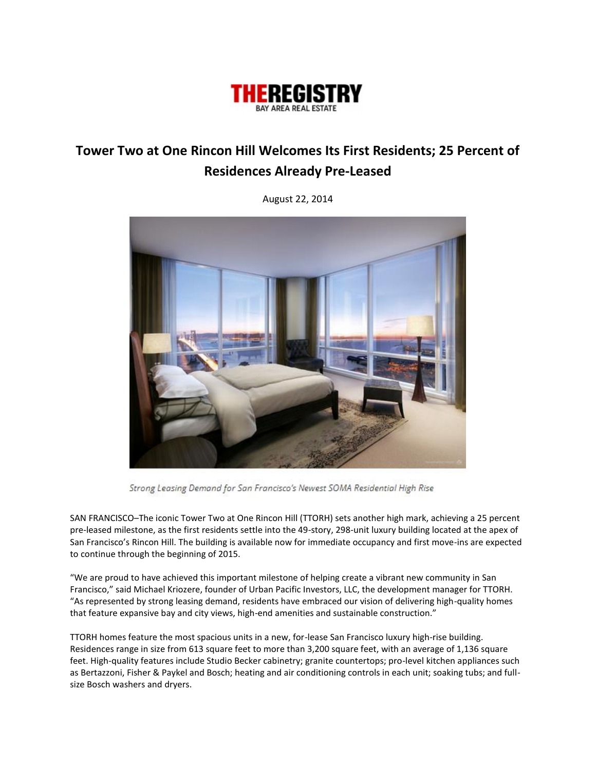

## **Tower Two at One Rincon Hill Welcomes Its First Residents; 25 Percent of Residences Already Pre-Leased**

August 22, 2014



Strong Leasing Demand for San Francisco's Newest SOMA Residential High Rise

SAN FRANCISCO–The iconic Tower Two at One Rincon Hill (TTORH) sets another high mark, achieving a 25 percent pre-leased milestone, as the first residents settle into the 49-story, 298-unit luxury building located at the apex of San Francisco's Rincon Hill. The building is available now for immediate occupancy and first move-ins are expected to continue through the beginning of 2015.

"We are proud to have achieved this important milestone of helping create a vibrant new community in San Francisco," said Michael Kriozere, founder of Urban Pacific Investors, LLC, the development manager for TTORH. "As represented by strong leasing demand, residents have embraced our vision of delivering high-quality homes that feature expansive bay and city views, high-end amenities and sustainable construction."

TTORH homes feature the most spacious units in a new, for-lease San Francisco luxury high-rise building. Residences range in size from 613 square feet to more than 3,200 square feet, with an average of 1,136 square feet. High-quality features include Studio Becker cabinetry; granite countertops; pro-level kitchen appliances such as Bertazzoni, Fisher & Paykel and Bosch; heating and air conditioning controls in each unit; soaking tubs; and fullsize Bosch washers and dryers.